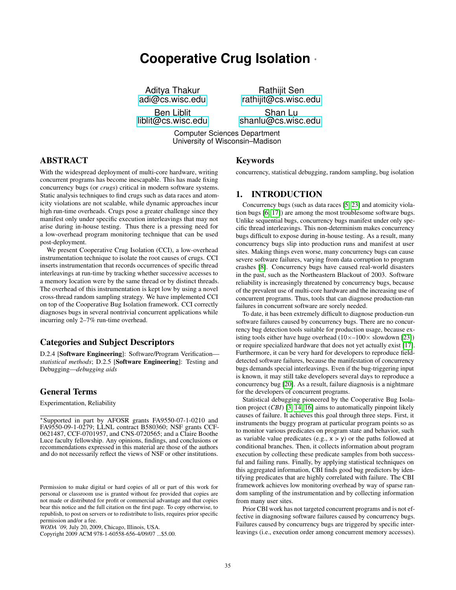# **Cooperative Crug Isolation** <sup>∗</sup>

Aditya Thakur [adi@cs.wisc.edu](mailto:adi@cs.wisc.edu)

Ben Liblit [liblit@cs.wisc.edu](mailto:liblit@cs.wisc.edu)

Rathijit Sen [rathijit@cs.wisc.edu](mailto:rathijit@cs.wisc.edu)

Shan Lu [shanlu@cs.wisc.edu](mailto:shanlu@cs.wisc.edu)

Computer Sciences Department University of Wisconsin–Madison

# ABSTRACT

With the widespread deployment of multi-core hardware, writing concurrent programs has become inescapable. This has made fixing concurrency bugs (or *crugs*) critical in modern software systems. Static analysis techniques to find crugs such as data races and atomicity violations are not scalable, while dynamic approaches incur high run-time overheads. Crugs pose a greater challenge since they manifest only under specific execution interleavings that may not arise during in-house testing. Thus there is a pressing need for a low-overhead program monitoring technique that can be used post-deployment.

We present Cooperative Crug Isolation (CCI), a low-overhead instrumentation technique to isolate the root causes of crugs. CCI inserts instrumentation that records occurrences of specific thread interleavings at run-time by tracking whether successive accesses to a memory location were by the same thread or by distinct threads. The overhead of this instrumentation is kept low by using a novel cross-thread random sampling strategy. We have implemented CCI on top of the Cooperative Bug Isolation framework. CCI correctly diagnoses bugs in several nontrivial concurrent applications while incurring only 2–7% run-time overhead.

# Categories and Subject Descriptors

D.2.4 [Software Engineering]: Software/Program Verification *statistical methods*; D.2.5 [Software Engineering]: Testing and Debugging—*debugging aids*

## General Terms

Experimentation, Reliability

Copyright 2009 ACM 978-1-60558-656-4/09/07 ...\$5.00.

## Keywords

concurrency, statistical debugging, random sampling, bug isolation

# 1. INTRODUCTION

Concurrency bugs (such as data races [\[5,](#page-6-0) [23\]](#page-6-1) and atomicity violation bugs [\[6,](#page-6-2) [17\]](#page-6-3)) are among the most troublesome software bugs. Unlike sequential bugs, concurrency bugs manifest under only specific thread interleavings. This non-determinism makes concurrency bugs difficult to expose during in-house testing. As a result, many concurrency bugs slip into production runs and manifest at user sites. Making things even worse, many concurrency bugs can cause severe software failures, varying from data corruption to program crashes [\[8\]](#page-6-4). Concurrency bugs have caused real-world disasters in the past, such as the Northeastern Blackout of 2003. Software reliability is increasingly threatened by concurrency bugs, because of the prevalent use of multi-core hardware and the increasing use of concurrent programs. Thus, tools that can diagnose production-run failures in concurrent software are sorely needed.

To date, it has been extremely difficult to diagnose production-run software failures caused by concurrency bugs. There are no concurrency bug detection tools suitable for production usage, because existing tools either have huge overhead  $(10\times–100\times$  slowdown [\[23\]](#page-6-1)) or require specialized hardware that does not yet actually exist [\[17\]](#page-6-3). Furthermore, it can be very hard for developers to reproduce fielddetected software failures, because the manifestation of concurrency bugs demands special interleavings. Even if the bug-triggering input is known, it may still take developers several days to reproduce a concurrency bug [\[20\]](#page-6-5). As a result, failure diagnosis is a nightmare for the developers of concurrent programs.

Statistical debugging pioneered by the Cooperative Bug Isolation project (*CBI*) [\[3,](#page-6-6) [14,](#page-6-7) [16\]](#page-6-8) aims to automatically pinpoint likely causes of failure. It achieves this goal through three steps. First, it instruments the buggy program at particular program points so as to monitor various predicates on program state and behavior, such as variable value predicates (e.g.,  $x > y$ ) or the paths followed at conditional branches. Then, it collects information about program execution by collecting these predicate samples from both successful and failing runs. Finally, by applying statistical techniques on this aggregated information, CBI finds good bug predictors by identifying predicates that are highly correlated with failure. The CBI framework achieves low monitoring overhead by way of sparse random sampling of the instrumentation and by collecting information from many user sites.

Prior CBI work has not targeted concurrent programs and is not effective in diagnosing software failures caused by concurrency bugs. Failures caused by concurrency bugs are triggered by specific interleavings (i.e., execution order among concurrent memory accesses).

<sup>∗</sup>Supported in part by AFOSR grants FA9550-07-1-0210 and FA9550-09-1-0279; LLNL contract B580360; NSF grants CCF-0621487, CCF-0701957, and CNS-0720565; and a Claire Boothe Luce faculty fellowship. Any opinions, findings, and conclusions or recommendations expressed in this material are those of the authors and do not necessarily reflect the views of NSF or other institutions.

Permission to make digital or hard copies of all or part of this work for personal or classroom use is granted without fee provided that copies are not made or distributed for profit or commercial advantage and that copies bear this notice and the full citation on the first page. To copy otherwise, to republish, to post on servers or to redistribute to lists, requires prior specific permission and/or a fee.

*WODA '09,* July 20, 2009, Chicago, Illinois, USA.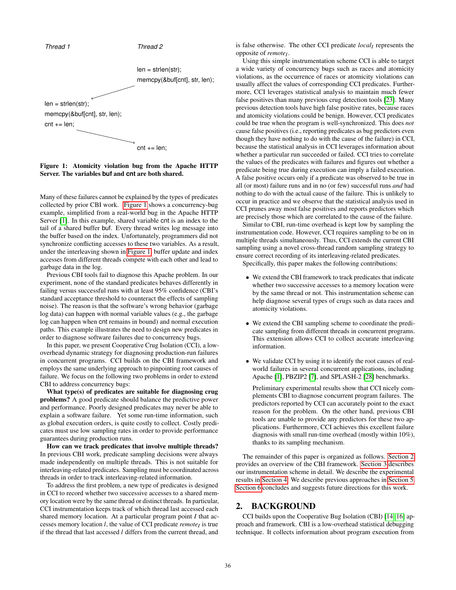<span id="page-1-0"></span>

Figure 1: Atomicity violation bug from the Apache HTTP Server. The variables **buf** and **cnt** are both shared.

Many of these failures cannot be explained by the types of predicates collected by prior CBI work. [Figure 1](#page-1-0) shows a concurrency-bug example, simplified from a real-world bug in the Apache HTTP Server [\[1\]](#page-6-9). In this example, shared variable cnt is an index to the tail of a shared buffer buf. Every thread writes log message into the buffer based on the index. Unfortunately, programmers did not synchronize conflicting accesses to these two variables. As a result, under the interleaving shown in [Figure 1,](#page-1-0) buffer update and index accesses from different threads compete with each other and lead to garbage data in the log.

Previous CBI tools fail to diagnose this Apache problem. In our experiment, none of the standard predicates behaves differently in failing versus successful runs with at least 95% confidence (CBI's standard acceptance threshold to counteract the effects of sampling noise). The reason is that the software's wrong behavior (garbage log data) can happen with normal variable values (e.g., the garbage log can happen when cnt remains in bound) and normal execution paths. This example illustrates the need to design new predicates in order to diagnose software failures due to concurrency bugs.

In this paper, we present Cooperative Crug Isolation (CCI), a lowoverhead dynamic strategy for diagnosing production-run failures in concurrent programs. CCI builds on the CBI framework and employs the same underlying approach to pinpointing root causes of failure. We focus on the following two problems in order to extend CBI to address concurrency bugs:

What type(s) of predicates are suitable for diagnosing crug problems? A good predicate should balance the predictive power and performance. Poorly designed predicates may never be able to explain a software failure. Yet some run-time information, such as global execution orders, is quite costly to collect. Costly predicates must use low sampling rates in order to provide performance guarantees during production runs.

How can we track predicates that involve multiple threads? In previous CBI work, predicate sampling decisions were always made independently on multiple threads. This is not suitable for interleaving-related predicates. Sampling must be coordinated across threads in order to track interleaving-related information.

To address the first problem, a new type of predicates is designed in CCI to record whether two successive accesses to a shared memory location were by the same thread or distinct threads. In particular, CCI instrumentation keeps track of which thread last accessed each shared memory location. At a particular program point *I* that accesses memory location *l*, the value of CCI predicate *remoteI* is true if the thread that last accessed *l* differs from the current thread, and

is false otherwise. The other CCI predicate *localI* represents the opposite of *remoteI* .

Using this simple instrumentation scheme CCI is able to target a wide variety of concurrency bugs such as races and atomicity violations, as the occurrence of races or atomicity violations can usually affect the values of corresponding CCI predicates. Furthermore, CCI leverages statistical analysis to maintain much fewer false positives than many previous crug detection tools [\[23\]](#page-6-1). Many previous detection tools have high false positive rates, because races and atomicity violations could be benign. However, CCI predicates could be true when the program is well-synchronized. This does *not* cause false positives (i.e., reporting predicates as bug predictors even though they have nothing to do with the cause of the failure) in CCI, because the statistical analysis in CCI leverages information about whether a particular run succeeded or failed. CCI tries to correlate the values of the predicates with failures and figures out whether a predicate being true during execution can imply a failed execution. A false positive occurs only if a predicate was observed to be true in all (or most) failure runs and in no (or few) successful runs *and* had nothing to do with the actual cause of the failure. This is unlikely to occur in practice and we observe that the statistical analysis used in CCI prunes away most false positives and reports predictors which are precisely those which are correlated to the cause of the failure.

Similar to CBI, run-time overhead is kept low by sampling the instrumentation code. However, CCI requires sampling to be on in multiple threads simultaneously. Thus, CCI extends the current CBI sampling using a novel cross-thread random sampling strategy to ensure correct recording of its interleaving-related predicates.

Specifically, this paper makes the following contributions:

- We extend the CBI framework to track predicates that indicate whether two successive accesses to a memory location were by the same thread or not. This instrumentation scheme can help diagnose several types of crugs such as data races and atomicity violations.
- We extend the CBI sampling scheme to coordinate the predicate sampling from different threads in concurrent programs. This extension allows CCI to collect accurate interleaving information.
- We validate CCI by using it to identify the root causes of realworld failures in several concurrent applications, including Apache [\[1\]](#page-6-9), PBZIP2 [\[7\]](#page-6-10), and SPLASH-2 [\[28\]](#page-6-11) benchmarks.

Preliminary experimental results show that CCI nicely complements CBI to diagnose concurrent program failures. The predictors reported by CCI can accurately point to the exact reason for the problem. On the other hand, previous CBI tools are unable to provide any predictors for these two applications. Furthermore, CCI achieves this excellent failure diagnosis with small run-time overhead (mostly within 10%), thanks to its sampling mechanism.

The remainder of this paper is organized as follows. [Section 2](#page-1-1) provides an overview of the CBI framework. [Section 3](#page-2-0) describes our instrumentation scheme in detail. We describe the experimental results in [Section 4.](#page-4-0) We describe previous approaches in [Section 5.](#page-5-0) [Section 6](#page-6-12) concludes and suggests future directions for this work.

# <span id="page-1-1"></span>2. BACKGROUND

CCI builds upon the Cooperative Bug Isolation (CBI) [\[14,](#page-6-7) [16\]](#page-6-8) approach and framework. CBI is a low-overhead statistical debugging technique. It collects information about program execution from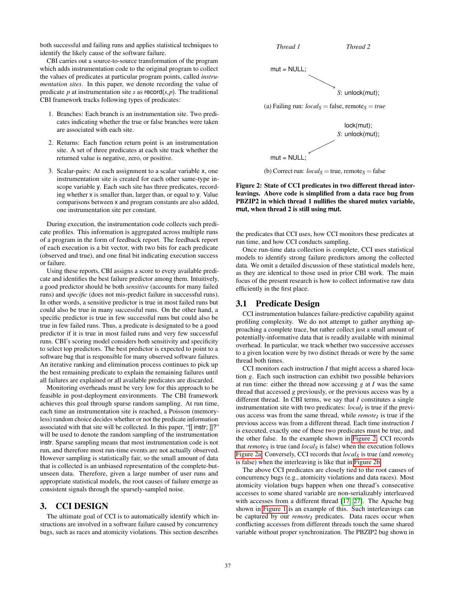both successful and failing runs and applies statistical techniques to identify the likely cause of the software failure.

CBI carries out a source-to-source transformation of the program which adds instrumentation code to the original program to collect the values of predicates at particular program points, called *instrumentation sites*. In this paper, we denote recording the value of predicate  $p$  at instrumentation site  $s$  as  $\mathsf{record}(s, p)$ . The traditional CBI framework tracks following types of predicates:

- 1. Branches: Each branch is an instrumentation site. Two predicates indicating whether the true or false branches were taken are associated with each site.
- 2. Returns: Each function return point is an instrumentation site. A set of three predicates at each site track whether the returned value is negative, zero, or positive.
- 3. Scalar-pairs: At each assignment to a scalar variable x, one instrumentation site is created for each other same-type inscope variable y. Each such site has three predicates, recording whether x is smaller than, larger than, or equal to y. Value comparisons between x and program constants are also added, one instrumentation site per constant.

During execution, the instrumentation code collects such predicate profiles. This information is aggregated across multiple runs of a program in the form of feedback report. The feedback report of each execution is a bit vector, with two bits for each predicate (observed and true), and one final bit indicating execution success or failure.

Using these reports, CBI assigns a score to every available predicate and identifies the best failure predictor among them. Intuitively, a good predictor should be both *sensitive* (accounts for many failed runs) and *specific* (does not mis-predict failure in successful runs). In other words, a sensitive predictor is true in most failed runs but could also be true in many successful runs. On the other hand, a specific predictor is true in few successful runs but could also be true in few failed runs. Thus, a predicate is designated to be a good predictor if it is true in most failed runs and very few successful runs. CBI's scoring model considers both sensitivity and specificity to select top predictors. The best predictor is expected to point to a software bug that is responsible for many observed software failures. An iterative ranking and elimination process continues to pick up the best remaining predicate to explain the remaining failures until all failures are explained or all available predicates are discarded.

Monitoring overheads must be very low for this approach to be feasible in post-deployment environments. The CBI framework achieves this goal through sparse random sampling. At run time, each time an instrumentation site is reached, a Poisson (memoryless) random choice decides whether or not the predicate information associated with that site will be collected. In this paper, "[[ instr; ]]?" will be used to denote the random sampling of the instrumentation instr. Sparse sampling means that most instrumentation code is not run, and therefore most run-time events are not actually observed. However sampling is statistically fair, so the small amount of data that is collected is an unbiased representation of the complete-butunseen data. Therefore, given a large number of user runs and appropriate statistical models, the root causes of failure emerge as consistent signals through the sparsely-sampled noise.

# <span id="page-2-0"></span>3. CCI DESIGN

The ultimate goal of CCI is to automatically identify which instructions are involved in a software failure caused by concurrency bugs, such as races and atomicity violations. This section describes

<span id="page-2-2"></span><span id="page-2-1"></span>

<span id="page-2-3"></span>(b) Correct run:  $local_S = true$ , remote<sub>S</sub> = false

Figure 2: State of CCI predicates in two different thread interleavings. Above code is simplified from a data race bug from PBZIP2 in which thread 1 nullifies the shared mutex variable, **mut**, when thread 2 is still using **mut**.

the predicates that CCI uses, how CCI monitors these predicates at run time, and how CCI conducts sampling.

Once run-time data collection is complete, CCI uses statistical models to identify strong failure predictors among the collected data. We omit a detailed discussion of these statistical models here, as they are identical to those used in prior CBI work. The main focus of the present research is how to collect informative raw data efficiently in the first place.

# 3.1 Predicate Design

CCI instrumentation balances failure-predictive capability against profiling complexity. We do not attempt to gather anything approaching a complete trace, but rather collect just a small amount of potentially-informative data that is readily available with minimal overhead. In particular, we track whether two successive accesses to a given location were by two distinct threads or were by the same thread both times.

CCI monitors each instruction *I* that might access a shared location *g*. Each such instruction can exhibit two possible behaviors at run time: either the thread now accessing *g* at *I* was the same thread that accessed *g* previously, or the previous access was by a different thread. In CBI terms, we say that *I* constitutes a single instrumentation site with two predicates: *localI* is true if the previous access was from the same thread, while *remoteI* is true if the previous access was from a different thread. Each time instruction *I* is executed, exactly one of these two predicates must be true, and the other false. In the example shown in [Figure 2,](#page-2-1) CCI records that *remote<sup>S</sup>* is true (and *local<sup>S</sup>* is false) when the execution follows [Figure 2a.](#page-2-2) Conversely, CCI records that *local<sup>S</sup>* is true (and *remote<sup>S</sup>* is false) when the interleaving is like that in [Figure 2b.](#page-2-3)

The above CCI predicates are closely tied to the root causes of concurrency bugs (e.g., atomicity violations and data races). Most atomicity violation bugs happen when one thread's consecutive accesses to some shared variable are non-serializably interleaved with accesses from a different thread [\[17,](#page-6-3) [27\]](#page-6-13). The Apache bug shown in [Figure 1](#page-1-0) is an example of this. Such interleavings can be captured by our *remoteI* predicates. Data races occur when conflicting accesses from different threads touch the same shared variable without proper synchronization. The PBZIP2 bug shown in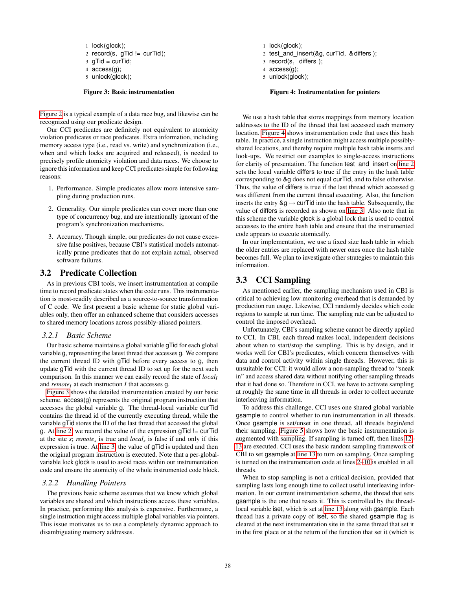<span id="page-3-1"></span><span id="page-3-0"></span>1 lock(glock );  $2$  record(s, gTid  $!=$  curTid);

- <span id="page-3-2"></span> $3$  gTid = curTid;
- 4 access(g);
- 5 unlock(glock );

#### Figure 3: Basic instrumentation

[Figure 2](#page-2-1) is a typical example of a data race bug, and likewise can be recognized using our predicate design.

Our CCI predicates are definitely not equivalent to atomicity violation predicates or race predicates. Extra information, including memory access type (i.e., read vs. write) and synchronization (i.e., when and which locks are acquired and released), is needed to precisely profile atomicity violation and data races. We choose to ignore this information and keep CCI predicates simple for following reasons:

- 1. Performance. Simple predicates allow more intensive sampling during production runs.
- 2. Generality. Our simple predicates can cover more than one type of concurrency bug, and are intentionally ignorant of the program's synchronization mechanisms.
- 3. Accuracy. Though simple, our predicates do not cause excessive false positives, because CBI's statistical models automatically prune predicates that do not explain actual, observed software failures.

# 3.2 Predicate Collection

As in previous CBI tools, we insert instrumentation at compile time to record predicate states when the code runs. This instrumentation is most-readily described as a source-to-source transformation of C code. We first present a basic scheme for static global variables only, then offer an enhanced scheme that considers accesses to shared memory locations across possibly-aliased pointers.

### *3.2.1 Basic Scheme*

Our basic scheme maintains a global variable gTid for each global variable g, representing the latest thread that accesses g. We compare the current thread ID with gTid before every access to g, then update gTid with the current thread ID to set up for the next such comparison. In this manner we can easily record the state of *localI* and *remoteI* at each instruction *I* that accesses g.

[Figure 3](#page-3-0) shows the detailed instrumentation created by our basic scheme. access(g) represents the original program instruction that accesses the global variable g. The thread-local variable curTid contains the thread id of the currently executing thread, while the variable gTid stores the ID of the last thread that accessed the global g. At [line 2,](#page-3-1) we record the value of the expression  $gTid$  != curTid at the site *s*; *remotes* is true and *locals* is false if and only if this expression is true. At [line 3,](#page-3-2) the value of gTid is updated and then the original program instruction is executed. Note that a per-globalvariable lock glock is used to avoid races within our instrumentation code and ensure the atomicity of the whole instrumented code block.

### *3.2.2 Handling Pointers*

The previous basic scheme assumes that we know which global variables are shared and which instructions access these variables. In practice, performing this analysis is expensive. Furthermore, a single instruction might access multiple global variables via pointers. This issue motivates us to use a completely dynamic approach to disambiguating memory addresses.

- <span id="page-3-4"></span><span id="page-3-3"></span>1 lock(glock );
- 2 test\_and\_insert(&g, curTid, & differs );
- <span id="page-3-5"></span>3 record(s, differs );
- 4 access(g);
- 5 unlock(glock );

#### Figure 4: Instrumentation for pointers

We use a hash table that stores mappings from memory location addresses to the ID of the thread that last accessed each memory location. [Figure 4](#page-3-3) shows instrumentation code that uses this hash table. In practice, a single instruction might access multiple possiblyshared locations, and thereby require multiple hash table inserts and look-ups. We restrict our examples to single-access instructions for clarity of presentation. The function test\_and\_insert on [line 2](#page-3-4) sets the local variable differs to true if the entry in the hash table corresponding to &g does not equal curTid, and to false otherwise. Thus, the value of differs is true if the last thread which accessed g was different from the current thread executing. Also, the function inserts the entry  $\& q \mapsto \text{curl} \overrightarrow{r}$  into the hash table. Subsequently, the value of differs is recorded as shown on [line 3.](#page-3-5) Also note that in this scheme the variable glock is a global lock that is used to control accesses to the entire hash table and ensure that the instrumented code appears to execute atomically.

In our implementation, we use a fixed size hash table in which the older entries are replaced with newer ones once the hash table becomes full. We plan to investigate other strategies to maintain this information.

# 3.3 CCI Sampling

As mentioned earlier, the sampling mechanism used in CBI is critical to achieving low monitoring overhead that is demanded by production run usage. Likewise, CCI randomly decides which code regions to sample at run time. The sampling rate can be adjusted to control the imposed overhead.

Unfortunately, CBI's sampling scheme cannot be directly applied to CCI. In CBI, each thread makes local, independent decisions about when to start/stop the sampling. This is by design, and it works well for CBI's predicates, which concern themselves with data and control activity within single threads. However, this is unsuitable for CCI: it would allow a non-sampling thread to "sneak in" and access shared data without notifying other sampling threads that it had done so. Therefore in CCI, we have to activate sampling at roughly the same time in all threads in order to collect accurate interleaving information.

To address this challenge, CCI uses one shared global variable gsample to control whether to run instrumentation in all threads. Once gsample is set/unset in one thread, all threads begin/end their sampling. [Figure 5](#page-4-1) shows how the basic instrumentation is augmented with sampling. If sampling is turned off, then lines [12–](#page-4-2) [13](#page-4-3) are executed. CCI uses the basic random sampling framework of CBI to set gsample at [line 13](#page-4-3) to turn on sampling. Once sampling is turned on the instrumentation code at lines [2](#page-4-4)[–10](#page-4-5) is enabled in all threads.

When to stop sampling is not a critical decision, provided that sampling lasts long enough time to collect useful interleaving information. In our current instrumentation scheme, the thread that sets gsample is the one that resets it. This is controlled by the threadlocal variable iset, which is set at [line 13](#page-4-3) along with gsample. Each thread has a private copy of iset, so the shared gsample flag is cleared at the next instrumentation site in the same thread that set it in the first place or at the return of the function that set it (which is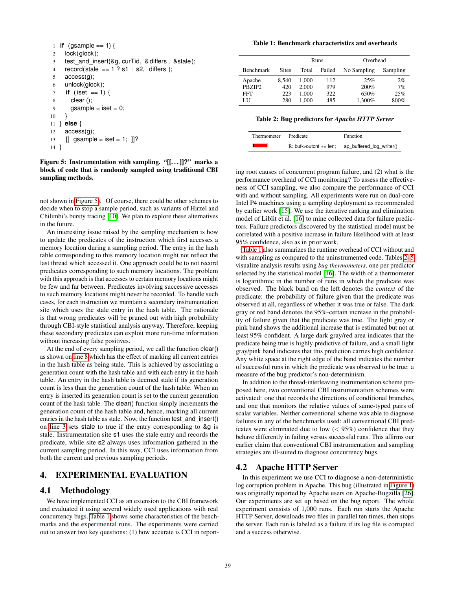```
1 if (gsample == 1) {
2 lock(glock );
3 test_and_insert(&g, curTid, & differs , &stale );
4 record(stale == 1 ? s1 : s2, differs);
5 access(g);
6 unlock(glock );
7 if ( iset == 1) {
8 clear ();
9 gsample = iset = 0;
10 }
11 } else {
12 access(g);
13 [[ gsample = iset = 1; ]]?
14 }
```
## <span id="page-4-5"></span><span id="page-4-3"></span><span id="page-4-2"></span>Figure 5: Instrumentation with sampling. "**[[. . . ]]?**" marks a block of code that is randomly sampled using traditional CBI sampling methods.

not shown in [Figure 5\)](#page-4-1). Of course, there could be other schemes to decide when to stop a sample period, such as variants of Hirzel and Chilimbi's bursty tracing [\[10\]](#page-6-14). We plan to explore these alternatives in the future.

An interesting issue raised by the sampling mechanism is how to update the predicates of the instruction which first accesses a memory location during a sampling period. The entry in the hash table corresponding to this memory location might not reflect the last thread which accessed it. One approach could be to not record predicates corresponding to such memory locations. The problem with this approach is that accesses to certain memory locations might be few and far between. Predicates involving successive accesses to such memory locations might never be recorded. To handle such cases, for each instruction we maintain a secondary instrumentation site which uses the stale entry in the hash table. The rationale is that wrong predicates will be pruned out with high probability through CBI-style statistical analysis anyway. Therefore, keeping these secondary predicates can exploit more run-time information without increasing false positives.

At the end of every sampling period, we call the function clear() as shown on [line 8](#page-4-6) which has the effect of marking all current entries in the hash table as being stale. This is achieved by associating a generation count with the hash table and with each entry in the hash table. An entry in the hash table is deemed stale if its generation count is less than the generation count of the hash table. When an entry is inserted its generation count is set to the current generation count of the hash table. The clear() function simply increments the generation count of the hash table and, hence, marking all current entries in the hash table as stale. Now, the function test and insert() on [line 3](#page-4-7) sets stale to true if the entry corresponding to &g is stale. Instrumentation site s1 uses the stale entry and records the predicate, while site s2 always uses information gathered in the current sampling period. In this way, CCI uses information from both the current and previous sampling periods.

# <span id="page-4-0"></span>4. EXPERIMENTAL EVALUATION

## 4.1 Methodology

We have implemented CCI as an extension to the CBI framework and evaluated it using several widely used applications with real concurrency bugs. [Table 1](#page-4-8) shows some characteristics of the benchmarks and the experimental runs. The experiments were carried out to answer two key questions: (1) how accurate is CCI in report-

<span id="page-4-8"></span>Table 1: Benchmark characteristics and overheads

|                    |              | Runs  |        | Overhead    |          |
|--------------------|--------------|-------|--------|-------------|----------|
| <b>Benchmark</b>   | <b>Sites</b> | Total | Failed | No Sampling | Sampling |
| Apache             | 8.540        | 1.000 | 112    | 25%         | 2%       |
| PRZIP <sub>2</sub> | 420          | 2,000 | 979    | 200%        | 7%       |
| FFT                | 223          | 1,000 | 322    | 650%        | 25%      |
| LU                 | 280          | 1.000 | 485    | 1,300%      | 800%     |

#### <span id="page-4-9"></span>Table 2: Bug predictors for *Apache HTTP Server*

| Thermometer | Predicate                      | <b>Function</b>          |  |
|-------------|--------------------------------|--------------------------|--|
|             | $R:$ buf- $\gt$ outcnt += len; | ap buffered log writer() |  |

ing root causes of concurrent program failure, and (2) what is the performance overhead of CCI monitoring? To assess the effectiveness of CCI sampling, we also compare the performance of CCI with and without sampling. All experiments were run on dual-core Intel P4 machines using a sampling deployment as recommended by earlier work [\[15\]](#page-6-15). We use the iterative ranking and elimination model of Liblit et al. [\[16\]](#page-6-8) to mine collected data for failure predictors. Failure predictors discovered by the statistical model must be correlated with a positive increase in failure likelihood with at least 95% confidence, also as in prior work.

[Table 1](#page-4-8) also summarizes the runtime overhead of CCI without and with sampling as compared to the uninstrumented code. Tables [2](#page-4-9)[–5](#page-5-1) visualize analysis results using *bug thermometers*, one per predictor selected by the statistical model [\[16\]](#page-6-8). The width of a thermometer is logarithmic in the number of runs in which the predicate was observed. The black band on the left denotes the *context* of the predicate: the probability of failure given that the predicate was observed at all, regardless of whether it was true or false. The dark gray or red band denotes the 95%-certain increase in the probability of failure given that the predicate was true. The light gray or pink band shows the additional increase that is estimated but not at least 95% confident. A large dark gray/red area indicates that the predicate being true is highly predictive of failure, and a small light gray/pink band indicates that this prediction carries high confidence. Any white space at the right edge of the band indicates the number of successful runs in which the predicate was observed to be true: a measure of the bug predictor's non-determinism.

In addition to the thread-interleaving instrumentation scheme proposed here, two conventional CBI instrumentation schemes were activated: one that records the directions of conditional branches, and one that monitors the relative values of same-typed pairs of scalar variables. Neither conventional scheme was able to diagnose failures in any of the benchmarks used: all conventional CBI predicates were eliminated due to low  $(< 95\%)$  confidence that they behave differently in failing versus successful runs. This affirms our earlier claim that conventional CBI instrumentation and sampling strategies are ill-suited to diagnose concurrency bugs.

# 4.2 Apache HTTP Server

In this experiment we use CCI to diagnose a non-deterministic log corruption problem in Apache. This bug (illustrated in [Figure 1\)](#page-1-0) was originally reported by Apache users on Apache-Bugzilla [\[26\]](#page-6-16). Our experiments are set up based on the bug report. The whole experiment consists of 1,000 runs. Each run starts the Apache HTTP Server, downloads two files in parallel ten times, then stops the server. Each run is labeled as a failure if its log file is corrupted and a success otherwise.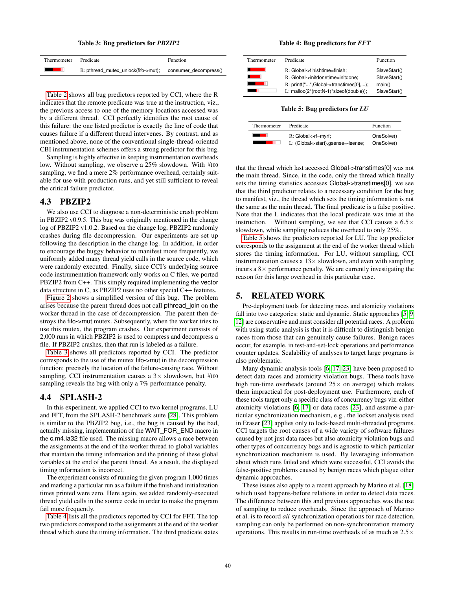|  |  | Table 3: Bug predictors for <i>PBZIP2</i> |  |  |
|--|--|-------------------------------------------|--|--|
|--|--|-------------------------------------------|--|--|

<span id="page-5-2"></span>

| Thermometer Predicate |                                                           | <b>Function</b> |
|-----------------------|-----------------------------------------------------------|-----------------|
|                       | R: pthread mutex unlock(fifo->mut); consumer decompress() |                 |

[Table 2](#page-4-9) shows all bug predictors reported by CCI, where the R indicates that the remote predicate was true at the instruction, viz., the previous access to one of the memory locations accessed was by a different thread. CCI perfectly identifies the root cause of this failure: the one listed predictor is exactly the line of code that causes failure if a different thread intervenes. By contrast, and as mentioned above, none of the conventional single-thread-oriented CBI instrumentation schemes offers a strong predictor for this bug.

Sampling is highly effective in keeping instrumentation overheads low. Without sampling, we observe a 25% slowdown. With 1/100 sampling, we find a mere 2% performance overhead, certainly suitable for use with production runs, and yet still sufficient to reveal the critical failure predictor.

# 4.3 PBZIP2

We also use CCI to diagnose a non-deterministic crash problem in PBZIP2 v0.9.5. This bug was originally mentioned in the change log of PBZIP2 v1.0.2. Based on the change log, PBZIP2 randomly crashes during file decompression. Our experiments are set up following the description in the change log. In addition, in order to encourage the buggy behavior to manifest more frequently, we uniformly added many thread yield calls in the source code, which were randomly executed. Finally, since CCI's underlying source code instrumentation framework only works on C files, we ported PBZIP2 from C++. This simply required implementing the vector data structure in C, as PBZIP2 uses no other special C++ features.

[Figure 2](#page-2-1) shows a simplified version of this bug. The problem arises because the parent thread does not call pthread\_join on the worker thread in the case of decompression. The parent then destroys the fifo->mut mutex. Subsequently, when the worker tries to use this mutex, the program crashes. Our experiment consists of 2,000 runs in which PBZIP2 is used to compress and decompress a file. If PBZIP2 crashes, then that run is labeled as a failure.

[Table 3](#page-5-2) shows all predictors reported by CCI. The predictor corresponds to the use of the mutex fifo->mut in the decompression function: precisely the location of the failure-causing race. Without sampling, CCI instrumentation causes a  $3\times$  slowdown, but  $1/100$ sampling reveals the bug with only a 7% performance penalty.

# 4.4 SPLASH-2

In this experiment, we applied CCI to two kernel programs, LU and FFT, from the SPLASH-2 benchmark suite [\[28\]](#page-6-11). This problem is similar to the PBZIP2 bug, i.e., the bug is caused by the bad, actually missing, implementation of the WAIT\_FOR\_END macro in the c.m4.ia32 file used. The missing macro allows a race between the assignments at the end of the worker thread to global variables that maintain the timing information and the printing of these global variables at the end of the parent thread. As a result, the displayed timing information is incorrect.

The experiment consists of running the given program 1,000 times and marking a particular run as a failure if the finish and initialization times printed were zero. Here again, we added randomly-executed thread yield calls in the source code in order to make the program fail more frequently.

[Table 4](#page-5-3) lists all the predictors reported by CCI for FFT. The top two predictors correspond to the assignments at the end of the worker thread which store the timing information. The third predicate states

#### Table 4: Bug predictors for *FFT*

<span id="page-5-3"></span>

| Thermometer | Predicate                                                                                                                                             | <b>Function</b>                                        |
|-------------|-------------------------------------------------------------------------------------------------------------------------------------------------------|--------------------------------------------------------|
|             | R: Global->finishtime=finish:<br>R: Global->initdonetime=initdone;<br>$R: print(f'", Global-strants [0],);$<br>L: malloc(2*(rootN-1)*sizeof(double)); | SlaveStart()<br>SlaveStart()<br>main()<br>SlaveStart() |
|             |                                                                                                                                                       |                                                        |

#### Table 5: Bug predictors for *LU*

<span id="page-5-1"></span>

| Thermometer | Predicate                                                 | <b>Function</b>          |
|-------------|-----------------------------------------------------------|--------------------------|
|             | R: Global->rf=myrf;<br>L: (Global->start).gsense=-lsense; | OneSolve()<br>OneSolve() |

that the thread which last accessed Global->transtimes[0] was not the main thread. Since, in the code, only the thread which finally sets the timing statistics accesses Global->transtimes[0], we see that the third predictor relates to a necessary condition for the bug to manifest, viz., the thread which sets the timing information is not the same as the main thread. The final predicate is a false positive. Note that the L indicates that the local predicate was true at the instruction. Without sampling, we see that CCI causes a  $6.5\times$ slowdown, while sampling reduces the overhead to only 25%.

[Table 5](#page-5-1) shows the predictors reported for LU. The top predictor corresponds to the assignment at the end of the worker thread which stores the timing information. For LU, without sampling, CCI instrumentation causes a  $13\times$  slowdown, and even with sampling incurs a  $8\times$  performance penalty. We are currently investigating the reason for this large overhead in this particular case.

## <span id="page-5-0"></span>5. RELATED WORK

Pre-deployment tools for detecting races and atomicity violations fall into two categories: static and dynamic. Static approaches [\[5,](#page-6-0) [9,](#page-6-17) [12\]](#page-6-18) are conservative and must consider all potential races. A problem with using static analysis is that it is difficult to distinguish benign races from those that can genuinely cause failures. Benign races occur, for example, in test-and-set-lock operations and performance counter updates. Scalability of analyses to target large programs is also problematic.

Many dynamic analysis tools [\[6,](#page-6-2) [17,](#page-6-3) [23\]](#page-6-1) have been proposed to detect data races and atomicity violation bugs. These tools have high run-time overheads (around  $25 \times$  on average) which makes them impractical for post-deployment use. Furthermore, each of these tools target only a specific class of concurrency bugs viz. either atomicity violations [\[6,](#page-6-2) [17\]](#page-6-3) or data races [\[23\]](#page-6-1), and assume a particular synchronization mechanism, e.g., the lockset analysis used in Eraser [\[23\]](#page-6-1) applies only to lock-based multi-threaded programs. CCI targets the root causes of a wide variety of software failures caused by not just data races but also atomicity violation bugs and other types of concurrency bugs and is agnostic to which particular synchronization mechanism is used. By leveraging information about which runs failed and which were successful, CCI avoids the false-positive problems caused by benign races which plague other dynamic approaches.

These issues also apply to a recent approach by Marino et al. [\[18\]](#page-6-19) which used happens-before relations in order to detect data races. The difference between this and previous approaches was the use of sampling to reduce overheads. Since the approach of Marino et al. is to record *all* synchronization operations for race detection, sampling can only be performed on non-synchronization memory operations. This results in run-time overheads of as much as 2.5×